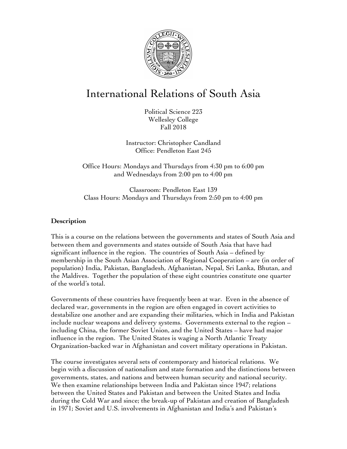

# International Relations of South Asia

Political Science 223 Wellesley College Fall 2018

Instructor: Christopher Candland Office: Pendleton East 245

Office Hours: Mondays and Thursdays from 4:30 pm to 6:00 pm and Wednesdays from 2:00 pm to 4:00 pm

Classroom: Pendleton East 139 Class Hours: Mondays and Thursdays from 2:50 pm to 4:00 pm

## **Description**

This is a course on the relations between the governments and states of South Asia and between them and governments and states outside of South Asia that have had significant influence in the region. The countries of South Asia – defined by membership in the South Asian Association of Regional Cooperation – are (in order of population) India, Pakistan, Bangladesh, Afghanistan, Nepal, Sri Lanka, Bhutan, and the Maldives. Together the population of these eight countries constitute one quarter of the world's total.

Governments of these countries have frequently been at war. Even in the absence of declared war, governments in the region are often engaged in covert activities to destabilize one another and are expanding their militaries, which in India and Pakistan include nuclear weapons and delivery systems. Governments external to the region – including China, the former Soviet Union, and the United States – have had major influence in the region. The United States is waging a North Atlantic Treaty Organization-backed war in Afghanistan and covert military operations in Pakistan.

The course investigates several sets of contemporary and historical relations. We begin with a discussion of nationalism and state formation and the distinctions between governments, states, and nations and between human security and national security. We then examine relationships between India and Pakistan since 1947; relations between the United States and Pakistan and between the United States and India during the Cold War and since; the break-up of Pakistan and creation of Bangladesh in 1971; Soviet and U.S. involvements in Afghanistan and India's and Pakistan's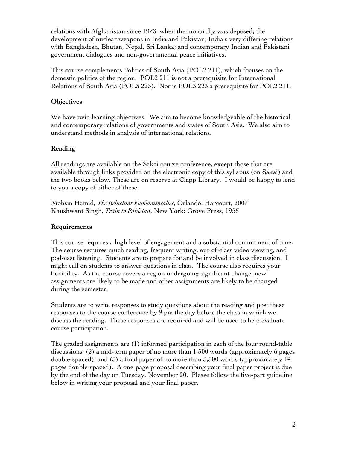relations with Afghanistan since 1973, when the monarchy was deposed; the development of nuclear weapons in India and Pakistan; India's very differing relations with Bangladesh, Bhutan, Nepal, Sri Lanka; and contemporary Indian and Pakistani government dialogues and non-governmental peace initiatives.

This course complements Politics of South Asia (POL2 211), which focuses on the domestic politics of the region. POL2 211 is not a prerequisite for International Relations of South Asia (POL3 223). Nor is POL3 223 a prerequisite for POL2 211.

## **Objectives**

We have twin learning objectives. We aim to become knowledgeable of the historical and contemporary relations of governments and states of South Asia. We also aim to understand methods in analysis of international relations.

## **Reading**

All readings are available on the Sakai course conference, except those that are available through links provided on the electronic copy of this syllabus (on Sakai) and the two books below. These are on reserve at Clapp Library. I would be happy to lend to you a copy of either of these.

Mohsin Hamid, *The Reluctant Fundamentalist*, Orlando: Harcourt, 2007 Khushwant Singh, *Train to Pakistan*, New York: Grove Press, 1956

## **Requirements**

This course requires a high level of engagement and a substantial commitment of time. The course requires much reading, frequent writing, out-of-class video viewing, and pod-cast listening. Students are to prepare for and be involved in class discussion. I might call on students to answer questions in class. The course also requires your flexibility. As the course covers a region undergoing significant change, new assignments are likely to be made and other assignments are likely to be changed during the semester.

Students are to write responses to study questions about the reading and post these responses to the course conference by 9 pm the day before the class in which we discuss the reading. These responses are required and will be used to help evaluate course participation.

The graded assignments are (1) informed participation in each of the four round-table discussions; (2) a mid-term paper of no more than 1,500 words (approximately 6 pages double-spaced); and (3) a final paper of no more than 3,500 words (approximately 14 pages double-spaced). A one-page proposal describing your final paper project is due by the end of the day on Tuesday, November 20. Please follow the five-part guideline below in writing your proposal and your final paper.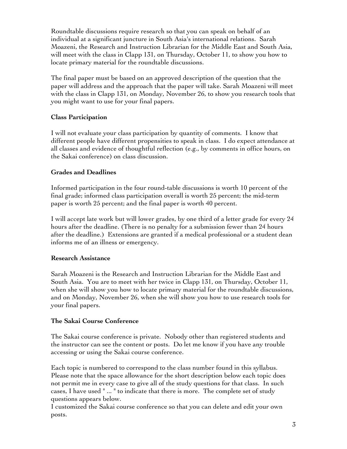Roundtable discussions require research so that you can speak on behalf of an individual at a significant juncture in South Asia's international relations. Sarah Moazeni, the Research and Instruction Librarian for the Middle East and South Asia, will meet with the class in Clapp 131, on Thursday, October 11, to show you how to locate primary material for the roundtable discussions.

The final paper must be based on an approved description of the question that the paper will address and the approach that the paper will take. Sarah Moazeni will meet with the class in Clapp 131, on Monday, November 26, to show you research tools that you might want to use for your final papers.

## **Class Participation**

I will not evaluate your class participation by quantity of comments. I know that different people have different propensities to speak in class. I do expect attendance at all classes and evidence of thoughtful reflection (e.g., by comments in office hours, on the Sakai conference) on class discussion.

## **Grades and Deadlines**

Informed participation in the four round-table discussions is worth 10 percent of the final grade; informed class participation overall is worth 25 percent; the mid-term paper is worth 25 percent; and the final paper is worth 40 percent.

I will accept late work but will lower grades, by one third of a letter grade for every 24 hours after the deadline. (There is no penalty for a submission fewer than 24 hours after the deadline.) Extensions are granted if a medical professional or a student dean informs me of an illness or emergency.

## **Research Assistance**

Sarah Moazeni is the Research and Instruction Librarian for the Middle East and South Asia. You are to meet with her twice in Clapp 131, on Thursday, October 11, when she will show you how to locate primary material for the roundtable discussions, and on Monday, November 26, when she will show you how to use research tools for your final papers.

## **The Sakai Course Conference**

The Sakai course conference is private. Nobody other than registered students and the instructor can see the content or posts. Do let me know if you have any trouble accessing or using the Sakai course conference.

Each topic is numbered to correspond to the class number found in this syllabus. Please note that the space allowance for the short description below each topic does not permit me in every case to give all of the study questions for that class. In such cases, I have used " ... " to indicate that there is more. The complete set of study questions appears below.

I customized the Sakai course conference so that you can delete and edit your own posts.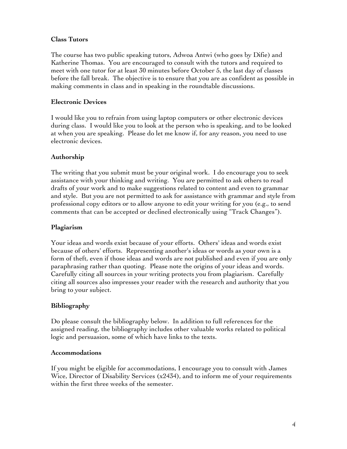## **Class Tutors**

The course has two public speaking tutors, Adwoa Antwi (who goes by Difie) and Katherine Thomas. You are encouraged to consult with the tutors and required to meet with one tutor for at least 30 minutes before October 5, the last day of classes before the fall break. The objective is to ensure that you are as confident as possible in making comments in class and in speaking in the roundtable discussions.

## **Electronic Devices**

I would like you to refrain from using laptop computers or other electronic devices during class. I would like you to look at the person who is speaking, and to be looked at when you are speaking. Please do let me know if, for any reason, you need to use electronic devices.

## **Authorship**

The writing that you submit must be your original work. I do encourage you to seek assistance with your thinking and writing. You are permitted to ask others to read drafts of your work and to make suggestions related to content and even to grammar and style. But you are not permitted to ask for assistance with grammar and style from professional copy editors or to allow anyone to edit your writing for you (e.g., to send comments that can be accepted or declined electronically using "Track Changes").

## **Plagiarism**

Your ideas and words exist because of your efforts. Others' ideas and words exist because of others' efforts. Representing another's ideas or words as your own is a form of theft, even if those ideas and words are not published and even if you are only paraphrasing rather than quoting. Please note the origins of your ideas and words. Carefully citing all sources in your writing protects you from plagiarism. Carefully citing all sources also impresses your reader with the research and authority that you bring to your subject.

## **Bibliography**

Do please consult the bibliography below. In addition to full references for the assigned reading, the bibliography includes other valuable works related to political logic and persuasion, some of which have links to the texts.

## **Accommodations**

If you might be eligible for accommodations, I encourage you to consult with James Wice, Director of Disability Services (x2434), and to inform me of your requirements within the first three weeks of the semester.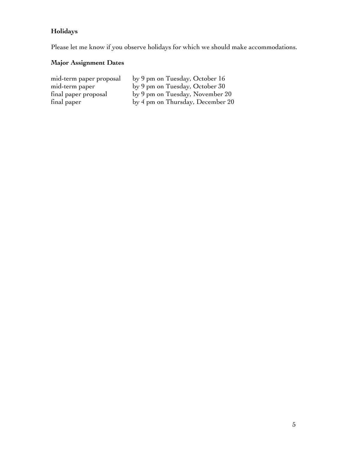# **Holidays**

Please let me know if you observe holidays for which we should make accommodations.

# **Major Assignment Dates**

| mid-term paper proposal | by 9 pm on Tuesday, October 16   |
|-------------------------|----------------------------------|
| mid-term paper          | by 9 pm on Tuesday, October 30   |
| final paper proposal    | by 9 pm on Tuesday, November 20  |
| final paper             | by 4 pm on Thursday, December 20 |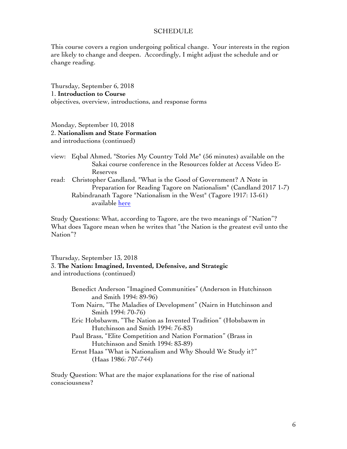#### SCHEDULE

This course covers a region undergoing political change. Your interests in the region are likely to change and deepen. Accordingly, I might adjust the schedule and or change reading.

Thursday, September 6, 2018 1. **Introduction to Course** objectives, overview, introductions, and response forms

Monday, September 10, 2018 2. **Nationalism and State Formation**  and introductions (continued)

- view: Eqbal Ahmed, "Stories My Country Told Me" (56 minutes) available on the Sakai course conference in the Resources folder at Access Video E-Reserves
- read: Christopher Candland, "What is the Good of Government? A Note in Preparation for Reading Tagore on Nationalism" (Candland 2017 1-7) Rabindranath Tagore "Nationalism in the West" (Tagore 1917: 13-61) available here

Study Questions: What, according to Tagore, are the two meanings of "Nation"? What does Tagore mean when he writes that "the Nation is the greatest evil unto the Nation"?

Thursday, September 13, 2018 3. **The Nation: Imagined, Invented, Defensive, and Strategic** and introductions (continued)

> Benedict Anderson "Imagined Communities" (Anderson in Hutchinson and Smith 1994: 89-96)

> Tom Nairn, "The Maladies of Development" (Nairn in Hutchinson and Smith 1994: 70-76)

Eric Hobsbawm, "The Nation as Invented Tradition" (Hobsbawm in Hutchinson and Smith 1994: 76-83)

Paul Brass, "Elite Competition and Nation Formation" (Brass in Hutchinson and Smith 1994: 83-89)

Ernst Haas "What is Nationalism and Why Should We Study it?" (Haas 1986: 707-744)

Study Question: What are the major explanations for the rise of national consciousness?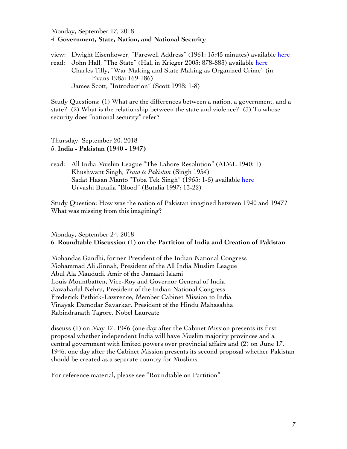Monday, September 17, 2018 4. **Government, State, Nation, and National Security**

view: Dwight Eisenhower, "Farewell Address" (1961: 15:45 minutes) available here read: John Hall, "The State" (Hall in Krieger 2003: 878-883) available here Charles Tilly, "War Making and State Making as Organized Crime" (in Evans 1985: 169-186) James Scott, "Introduction" (Scott 1998: 1-8)

Study Questions: (1) What are the differences between a nation, a government, and a state? (2) What is the relationship between the state and violence? (3) To whose security does "national security" refer?

Thursday, September 20, 2018 5. **India - Pakistan (1940 - 1947)**

read: All India Muslim League "The Lahore Resolution" (AIML 1940: 1) Khushwant Singh, *Train to Pakistan* (Singh 1954) Sadat Hasan Manto "Toba Tek Singh" (1955: 1-5) available here Urvashi Butalia "Blood" (Butalia 1997: 13-22)

Study Question: How was the nation of Pakistan imagined between 1940 and 1947? What was missing from this imagining?

Monday, September 24, 2018 6. **Roundtable Discussion** (1) **on the Partition of India and Creation of Pakistan**

Mohandas Gandhi, former President of the Indian National Congress Mohammad Ali Jinnah, President of the All India Muslim League Abul Ala Maududi, Amir of the Jamaati Islami Louis Mountbatten, Vice-Roy and Governor General of India Jawaharlal Nehru, President of the Indian National Congress Frederick Pethick-Lawrence, Member Cabinet Mission to India Vinayak Damodar Savarkar, President of the Hindu Mahasabha Rabindranath Tagore, Nobel Laureate

discuss (1) on May 17, 1946 (one day after the Cabinet Mission presents its first proposal whether independent India will have Muslim majority provinces and a central government with limited powers over provincial affairs and (2) on June 17, 1946, one day after the Cabinet Mission presents its second proposal whether Pakistan should be created as a separate country for Muslims

For reference material, please see "Roundtable on Partition"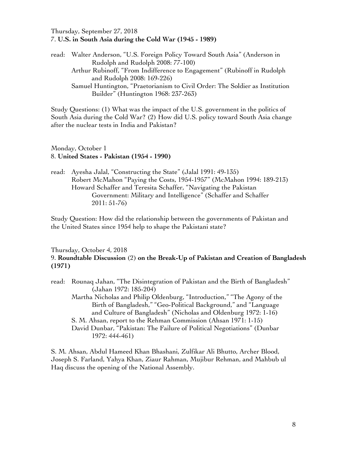#### Thursday, September 27, 2018 7. **U.S. in South Asia during the Cold War (1945 - 1989)**

read: Walter Anderson, "U.S. Foreign Policy Toward South Asia" (Anderson in Rudolph and Rudolph 2008: 77-100) Arthur Rubinoff, "From Indifference to Engagement" (Rubinoff in Rudolph and Rudolph 2008: 169-226) Samuel Huntington, "Praetorianism to Civil Order: The Soldier as Institution Builder" (Huntington 1968: 237-263)

Study Questions: (1) What was the impact of the U.S. government in the politics of South Asia during the Cold War? (2) How did U.S. policy toward South Asia change after the nuclear tests in India and Pakistan?

Monday, October 1 8. **United States - Pakistan (1954 - 1990)**

read: Ayesha Jalal, "Constructing the State" (Jalal 1991: 49-135) Robert McMahon "Paying the Costs, 1954-1957" (McMahon 1994: 189-213) Howard Schaffer and Teresita Schaffer, "Navigating the Pakistan Government: Military and Intelligence" (Schaffer and Schaffer 2011: 51-76)

Study Question: How did the relationship between the governments of Pakistan and the United States since 1954 help to shape the Pakistani state?

#### Thursday, October 4, 2018

#### 9. **Roundtable Discussion** (2) **on the Break-Up of Pakistan and Creation of Bangladesh (1971)**

- read: Rounaq Jahan, "The Disintegration of Pakistan and the Birth of Bangladesh" (Jahan 1972: 185-204)
	- Martha Nicholas and Philip Oldenburg, "Introduction," "The Agony of the Birth of Bangladesh," "Geo-Political Background," and "Language and Culture of Bangladesh" (Nicholas and Oldenburg 1972: 1-16) S. M. Ahsan, report to the Rehman Commission (Ahsan 1971: 1-15)
		- David Dunbar, "Pakistan: The Failure of Political Negotiations" (Dunbar 1972: 444-461)

S. M. Ahsan, Abdul Hameed Khan Bhashani, Zulfikar Ali Bhutto, Archer Blood, Joseph S. Farland, Yahya Khan, Ziaur Rahman, Mujibur Rehman, and Mahbub ul Haq discuss the opening of the National Assembly.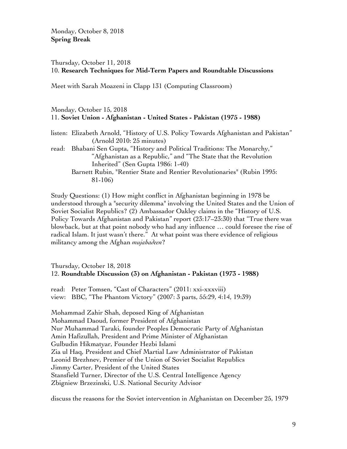## Thursday, October 11, 2018 10. **Research Techniques for Mid-Term Papers and Roundtable Discussions**

Meet with Sarah Moazeni in Clapp 131 (Computing Classroom)

## Monday, October 15, 2018 11. **Soviet Union - Afghanistan - United States - Pakistan (1975 - 1988)**

listen: Elizabeth Arnold, "History of U.S. Policy Towards Afghanistan and Pakistan" (Arnold 2010: 25 minutes)

- read: Bhabani Sen Gupta, "History and Political Traditions: The Monarchy," "Afghanistan as a Republic," and "The State that the Revolution Inherited" (Sen Gupta 1986: 1-40)
	- Barnett Rubin, "Rentier State and Rentier Revolutionaries" (Rubin 1995: 81-106)

Study Questions: (1) How might conflict in Afghanistan beginning in 1978 be understood through a "security dilemma" involving the United States and the Union of Soviet Socialist Republics? (2) Ambassador Oakley claims in the "History of U.S. Policy Towards Afghanistan and Pakistan" report (23:17–23:30) that "True there was blowback, but at that point nobody who had any influence … could foresee the rise of radical Islam. It just wasn't there." At what point was there evidence of religious militancy among the Afghan *mujahadeen*?

## Thursday, October 18, 2018 12. **Roundtable Discussion (3) on Afghanistan - Pakistan (1973 - 1988)**

read: Peter Tomsen, "Cast of Characters" (2011: xxi-xxxviii) view: BBC, "The Phantom Victory" (2007: 3 parts, 55:29, 4:14, 19:39)

Mohammad Zahir Shah, deposed King of Afghanistan Mohammad Daoud, former President of Afghanistan Nur Muhammad Taraki, founder Peoples Democratic Party of Afghanistan Amin Hafizullah, President and Prime Minister of Afghanistan Gulbudin Hikmatyar, Founder Hezbi Islami Zia ul Haq, President and Chief Martial Law Administrator of Pakistan Leonid Brezhnev, Premier of the Union of Soviet Socialist Republics Jimmy Carter, President of the United States Stansfield Turner, Director of the U.S. Central Intelligence Agency Zbigniew Brzezinski, U.S. National Security Advisor

discuss the reasons for the Soviet intervention in Afghanistan on December 25, 1979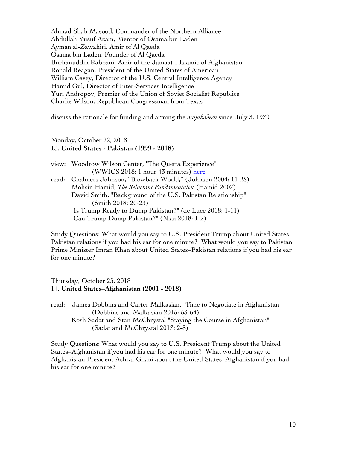Ahmad Shah Masood, Commander of the Northern Alliance Abdullah Yusuf Azam, Mentor of Osama bin Laden Ayman al-Zawahiri, Amir of Al Qaeda Osama bin Laden, Founder of Al Qaeda Burhanuddin Rabbani, Amir of the Jamaat-i-Islamic of Afghanistan Ronald Reagan, President of the United States of American William Casey, Director of the U.S. Central Intelligence Agency Hamid Gul, Director of Inter-Services Intelligence Yuri Andropov, Premier of the Union of Soviet Socialist Republics Charlie Wilson, Republican Congressman from Texas

discuss the rationale for funding and arming the *mujahadeen* since July 3, 1979

Monday, October 22, 2018 13. **United States - Pakistan (1999 - 2018)**

view: Woodrow Wilson Center, "The Quetta Experience" (WWICS 2018: 1 hour 43 minutes) here read: Chalmers Johnson, "Blowback World," (Johnson 2004: 11-28) Mohsin Hamid, *The Reluctant Fundamentalist* (Hamid 2007) David Smith, "Background of the U.S. Pakistan Relationship" (Smith 2018: 20-23) "Is Trump Ready to Dump Pakistan?" (de Luce 2018: 1-11) "Can Trump Dump Pakistan?" (Niaz 2018: 1-2)

Study Questions: What would you say to U.S. President Trump about United States– Pakistan relations if you had his ear for one minute? What would you say to Pakistan Prime Minister Imran Khan about United States–Pakistan relations if you had his ear for one minute?

Thursday, October 25, 2018 14. **United States–Afghanistan (2001 - 2018)**

read: James Dobbins and Carter Malkasian, "Time to Negotiate in Afghanistan" (Dobbins and Malkasian 2015: 53-64) Kosh Sadat and Stan McChrystal "Staying the Course in Afghanistan" (Sadat and McChrystal 2017: 2-8)

Study Questions: What would you say to U.S. President Trump about the United States–Afghanistan if you had his ear for one minute? What would you say to Afghanistan President Ashraf Ghani about the United States–Afghanistan if you had his ear for one minute?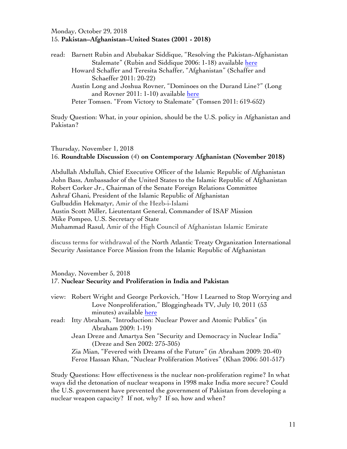#### Monday, October 29, 2018 15. **Pakistan–Afghanistan–United States (2001 - 2018)**

read: Barnett Rubin and Abubakar Siddique, "Resolving the Pakistan-Afghanistan Stalemate" (Rubin and Siddique 2006: 1-18) available here Howard Schaffer and Teresita Schaffer, "Afghanistan" (Schaffer and Schaeffer 2011: 20-22) Austin Long and Joshua Rovner, "Dominoes on the Durand Line?" (Long and Rovner 2011: 1-10) available here Peter Tomsen. "From Victory to Stalemate" (Tomsen 2011: 619-652)

Study Question: What, in your opinion, should be the U.S. policy in Afghanistan and Pakistan?

## Thursday, November 1, 2018 16. **Roundtable Discussion** (4) **on Contemporary Afghanistan (November 2018)**

Abdullah Abdullah, Chief Executive Officer of the Islamic Republic of Afghanistan John Bass, Ambassador of the United States to the Islamic Republic of Afghanistan Robert Corker Jr., Chairman of the Senate Foreign Relations Committee Ashraf Ghani, President of the Islamic Republic of Afghanistan Gulbuddin Hekmatyr, Amir of the Hezb-i-Islami Austin Scott Miller, Lieutentant General, Commander of ISAF Mission Mike Pompeo, U.S. Secretary of State Muhammad Rasul, Amir of the High Council of Afghanistan Islamic Emirate

discuss terms for withdrawal of the North Atlantic Treaty Organization International Security Assistance Force Mission from the Islamic Republic of Afghanistan

Monday, November 5, 2018 17. **Nuclear Security and Proliferation in India and Pakistan**

| view: Robert Wright and George Perkovich, "How I Learned to Stop Worrying and |
|-------------------------------------------------------------------------------|
| Love Nonproliferation," Bloggingheads TV, July 10, 2011 (53)                  |
| minutes) available here                                                       |
| read: Itty Abraham, "Introduction: Nuclear Power and Atomic Publics" (in      |
| Abraham 2009: 1-19)                                                           |
| Jean Dreze and Amartya Sen "Security and Democracy in Nuclear India"          |
| (Dreze and Sen 2002: 275-305)                                                 |
| Zia Mian, "Fevered with Dreams of the Future" (in Abraham 2009: 20-40)        |
| Feroz Hassan Khan, "Nuclear Proliferation Motives" (Khan 2006: 501-517)       |
|                                                                               |
|                                                                               |

Study Questions: How effectiveness is the nuclear non-proliferation regime? In what ways did the detonation of nuclear weapons in 1998 make India more secure? Could the U.S. government have prevented the government of Pakistan from developing a nuclear weapon capacity? If not, why? If so, how and when?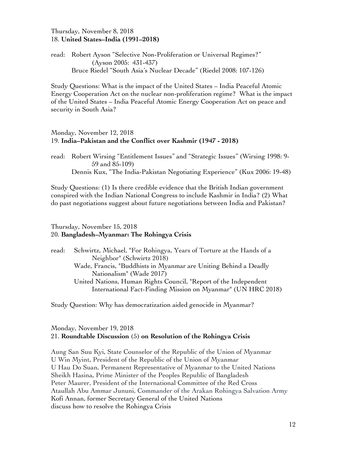Thursday, November 8, 2018 18. **United States–India (1991–2018)**

read: Robert Ayson "Selective Non-Proliferation or Universal Regimes?" (Ayson 2005: 431-437) Bruce Riedel "South Asia's Nuclear Decade" (Riedel 2008: 107-126)

Study Questions: What is the impact of the United States – India Peaceful Atomic Energy Cooperation Act on the nuclear non-proliferation regime? What is the impact of the United States – India Peaceful Atomic Energy Cooperation Act on peace and security in South Asia?

Monday, November 12, 2018 19. **India–Pakistan and the Conflict over Kashmir (1947 - 2018)**

read: Robert Wirsing "Entitlement Issues" and "Strategic Issues" (Wirsing 1998: 9- 59 and 85-109) Dennis Kux, "The India-Pakistan Negotiating Experience" (Kux 2006: 19-48)

Study Questions: (1) Is there credible evidence that the British Indian government conspired with the Indian National Congress to include Kashmir in India? (2) What do past negotiations suggest about future negotiations between India and Pakistan?

#### Thursday, November 15, 2018 20. **Bangladesh–Myanmar: The Rohingya Crisis**

read:Schwirtz, Michael, "For Rohingya, Years of Torture at the Hands of a Neighbor" (Schwirtz 2018) Wade, Francis, "Buddhists in Myanmar are Uniting Behind a Deadly Nationalism" (Wade 2017) United Nations, Human Rights Council, "Report of the Independent International Fact-Finding Mission on Myanmar" (UN HRC 2018)

Study Question: Why has democratization aided genocide in Myanmar?

## Monday, November 19, 2018 21. **Roundtable Discussion** (5) **on Resolution of the Rohingya Crisis**

Aung San Suu Kyi, State Counselor of the Republic of the Union of Myanmar U Win Myint, President of the Republic of the Union of Myanmar U Hau Do Suan, Permanent Representative of Myanmar to the United Nations Sheikh Hasina, Prime Minister of the Peoples Republic of Bangladesh Peter Maurer, President of the International Committee of the Red Cross Ataullah Abu Ammar Jununi, Commander of the Arakan Rohingya Salvation Army Kofi Annan, former Secretary General of the United Nations discuss how to resolve the Rohingya Crisis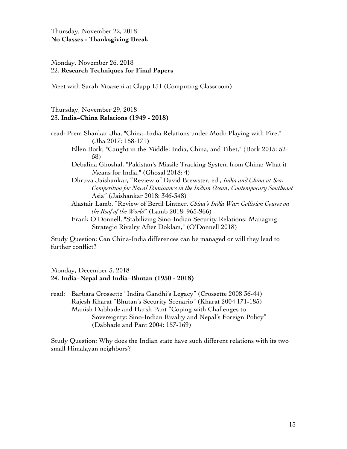Thursday, November 22, 2018 **No Classes - Thanksgiving Break**

Monday, November 26, 2018 22. **Research Techniques for Final Papers** 

Meet with Sarah Moazeni at Clapp 131 (Computing Classroom)

Thursday, November 29, 2018 23. **India–China Relations (1949 - 2018)**

- read: Prem Shankar Jha, "China–India Relations under Modi: Playing with Fire," (Jha 2017: 158-171)
	- Ellen Bork, "Caught in the Middle: India, China, and Tibet," (Bork 2015: 52- 58)
	- Debalina Ghoshal, "Pakistan's Missile Tracking System from China: What it Means for India," (Ghosal 2018: 4)
	- Dhruva Jaishankar, "Review of David Brewster, ed., *India and China at Sea: Competition for Naval Dominance in the Indian Ocean*, *Contemporary Southeast*  Asia" (Jaishankar 2018: 346-348)
	- Alastair Lamb, "Review of Bertil Lintner, *China's India War: Collision Course on the Roof of the World*" (Lamb 2018: 965-966)
	- Frank O'Donnell, "Stabilizing Sino-Indian Security Relations: Managing Strategic Rivalry After Doklam," (O'Donnell 2018)

Study Question: Can China-India differences can be managed or will they lead to further conflict?

Monday, December 3, 2018 24. **India–Nepal and India–Bhutan (1950 - 2018)**

read: Barbara Crossette "Indira Gandhi's Legacy" (Crossette 2008 36-44) Rajesh Kharat "Bhutan's Security Scenario" (Kharat 2004 171-185) Manish Dabhade and Harsh Pant "Coping with Challenges to Sovereignty: Sino-Indian Rivalry and Nepal's Foreign Policy" (Dabhade and Pant 2004: 157-169)

Study Question: Why does the Indian state have such different relations with its two small Himalayan neighbors?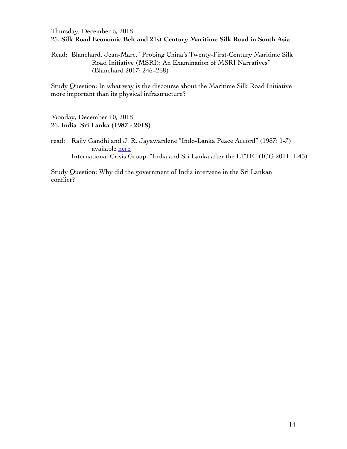### Thursday, December 6, 2018 25. **Silk Road Economic Belt and 21st Century Maritime Silk Road in South Asia**

Read: Blanchard, Jean-Marc, "Probing China's Twenty-First-Century Maritime Silk Road Initiative (MSRI): An Examination of MSRI Narratives" (Blanchard 2017: 246–268)

Study Question: In what way is the discourse about the Maritime Silk Road Initiative more important than its physical infrastructure?

Monday, December 10, 2018 26. **India–Sri Lanka (1987 - 2018)**

read: Rajiv Gandhi and J. R. Jayawardene "Indo-Lanka Peace Accord" (1987: 1-7) available here International Crisis Group, "India and Sri Lanka after the LTTE" (ICG 2011: 1-43)

Study Question: Why did the government of India intervene in the Sri Lankan conflict?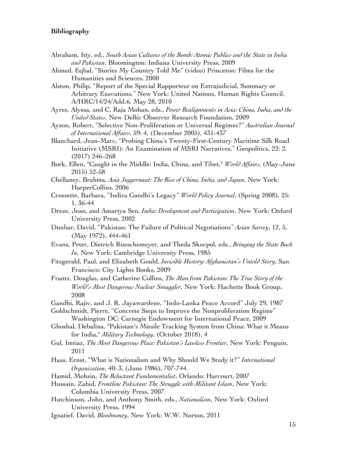#### **Bibliography**

- Abraham, Itty, ed., *South Asian Cultures of the Bomb: Atomic Publics and the State in India and Pakistan*, Bloomington: Indiana University Press, 2009
- Ahmed, Eqbal, "Stories My Country Told Me" (video) Princeton: Films for the Humanities and Sciences, 2000
- Alston, Philip, "Report of the Special Rapporteur on Extrajudicial, Summary or Arbitrary Executions," New York: United Nations, Human Rights Council, A/HRC/14/24/Add.6, May 28, 2010
- Ayres, Alyssa, and C. Raja Mohan, eds., *Power Realignments in Asia: China, India, and the United States*, New Delhi: Observer Research Foundation, 2009
- Ayson, Robert, "Selective Non-Proliferation or Universal Regimes?" *Australian Journal of International Affairs*, 59: 4, (December 2005), 431-437
- Blanchard, Jean-Marc, "Probing China's Twenty-First-Century Maritime Silk Road Initiative (MSRI): An Examination of MSRI Narratives," Geopolitics, 22: 2, (2017) 246–268
- Bork, Ellen, "Caught in the Middle: India, China, and Tibet," *World Affairs*, (May-June 2015) 52-58
- Chellaney, Brahma, *Asia Juggernaut: The Rise of China, India, and Japan*, New York: HarperCollins, 2006
- Crossette, Barbara, "Indira Gandhi's Legacy" *World Policy Journal*, (Spring 2008), 25: 1, 36-44
- Dreze, Jean, and Amartya Sen, *India: Development and Participation*, New York: Oxford University Press, 2002
- Dunbar, David, "Pakistan: The Failure of Political Negotiations" *Asian Survey*, 12, 5, (May 1972), 444-461
- Evans, Peter, Dietrich Rueschemeyer, and Theda Skocpol, eds., *Bringing the State Back In*, New York: Cambridge University Press, 1985
- Fitzgerald, Paul, and Elizabeth Gould, *Invisible History: Afghanistan's Untold Story*, San Francisco: City Lights Books, 2009

Frantz, Douglas, and Catherine Collins, *The Man from Pakistan: The True Story of the World's Most Dangerous Nuclear Smuggler*, New York: Hachette Book Group, 2008

- Gandhi, Rajiv, and J. R. Jayawardene, "Indo-Lanka Peace Accord" July 29, 1987
- Goldschmidt, Pierre, "Concrete Steps to Improve the Nonproliferation Regime" Washington DC: Carnegie Endowment for International Peace, 2009
- Ghoshal, Debalina, "Pakistan's Missile Tracking System from China: What it Means for India," *Military Technology*, (October 2018), 4
- Gul, Imtiaz, *The Most Dangerous Place: Pakistan's Lawless Frontier*, New York: Penguin, 2011
- Haas, Ernst, "What is Nationalism and Why Should We Study it?" *International Organization*, 40: 3, (June 1986), 707-744.
- Hamid, Mohsin, *The Reluctant Fundamentalist*, Orlando: Harcourt, 2007
- Hussain, Zahid, *Frontline Pakistan: The Struggle with Militant Islam*, New York: Columbia University Press, 2007.
- Hutchinson, John, and Anthony Smith, eds., *Nationalism*, New York: Oxford University Press, 1994
- Ignatief, David, *Bloodmoney*, New York: W.W. Norton, 2011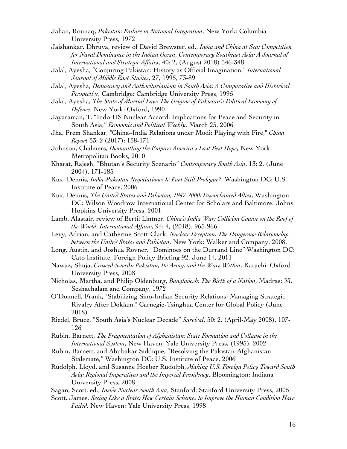- Jahan, Rounaq, *Pakistan: Failure in National Integration*, New York: Columbia University Press, 1972
- Jaishankar, Dhruva, review of David Brewster, ed., *India and China at Sea: Competition for Naval Dominance in the Indian Ocean*, *Contemporary Southeast Asia: A Journal of International and Strategic Affairs*, 40: 2, (August 2018) 346-348
- Jalal, Ayesha, "Conjuring Pakistan: History as Official Imagination," *International Journal of Middle East Studies*, 27, 1995, 73-89
- Jalal, Ayesha, *Democracy and Authoritarianism in South Asia: A Comparative and Historical Perspective*, Cambridge: Cambridge University Press, 1995
- Jalal, Ayesha, *The State of Martial Law: The Origins of Pakistan's Political Economy of Defence*, New York: Oxford, 1990
- Jayaraman, T. "Indo-US Nuclear Accord: Implications for Peace and Security in South Asia," *Economic and Political Weekly*, March 25, 2006
- Jha, Prem Shankar, "China–India Relations under Modi: Playing with Fire," *China Report* 53: 2 (2017): 158-171
- Johnson, Chalmers, *Dismantling the Empire: America's Last Best Hope*, New York: Metropolitan Books, 2010
- Kharat, Rajesh, "Bhutan's Security Scenario" *Contemporary South Asia*, 13: 2, (June 2004), 171-185
- Kux, Dennis, *India-Pakistan Negotiations: Is Past Still Prologue?*, Washington DC: U.S. Institute of Peace, 2006
- Kux, Dennis, *The United States and Pakistan, 1947-2000: Disenchanted Allies*, Washington DC: Wilson Woodrow International Center for Scholars and Baltimore: Johns Hopkins University Press, 2001
- Lamb, Alastair, review of Bertil Lintner, *China's India War: Collision Course on the Roof of the World*, *International Affairs,* 94: 4, (2018), 965-966.
- Levy, Adrian, and Catherine Scott-Clark, *Nuclear Deception: The Dangerous Relationship between the United States and Pakistan*, New York: Walker and Company, 2008.
- Long, Austin, and Joshua Rovner, "Dominoes on the Durrand Line" Washington DC: Cato Institute, Foreign Policy Briefing 92, June 14, 2011
- Nawaz, Shuja, *Crossed Swords: Pakistan, Its Army, and the Wars Within*, Karachi: Oxford University Press, 2008
- Nicholas, Martha, and Philip Oldenburg, *Bangladesh: The Birth of a Nation*, Madras: M. Seshachalam and Company, 1972
- O'Donnell, Frank, "Stabilizing Sino-Indian Security Relations: Managing Strategic Rivalry After Doklam," Carnegie-Tsinghua Center for Global Policy (June 2018)
- Riedel, Bruce, "South Asia's Nuclear Decade" *Survival*, 50: 2, (April-May 2008), 107- 126
- Rubin, Barnett, *The Fragmentation of Afghanistan: State Formation and Collapse in the International System*, New Haven: Yale University Press, (1995), 2002
- Rubin, Barnett, and Abubakar Siddique, "Resolving the Pakistan-Afghanistan Stalemate," Washington DC: U.S. Institute of Peace, 2006
- Rudolph, Lloyd, and Susanne Hoeber Rudolph, *Making U.S. Foreign Policy Toward South Asia: Regional Imperatives and the Imperial Presidency*, Bloomington: Indiana University Press, 2008
- Sagan, Scott, ed., *Inside Nuclear South Asia*, Stanford: Stanford University Press, 2005
- Scott, James, *Seeing Like a State: How Certain Schemes to Improve the Human Condition Have Failed*, New Haven: Yale University Press, 1998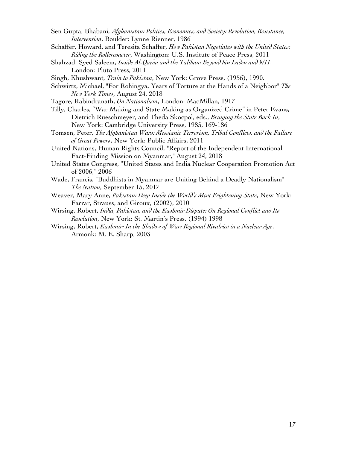- Sen Gupta, Bhabani, *Afghanistan: Politics, Economics, and Society: Revolution, Resistance, Intervention*, Boulder: Lynne Rienner, 1986
- Schaffer, Howard, and Teresita Schaffer, *How Pakistan Negotiates with the United States: Riding the Rollercoaster*, Washington: U.S. Institute of Peace Press, 2011
- Shahzad, Syed Saleem, *Inside Al-Qaeda and the Taliban: Beyond bin Laden and 9/11*, London: Pluto Press, 2011
- Singh, Khushwant, *Train to Pakistan*, New York: Grove Press, (1956), 1990.
- Schwirtz, Michael, "For Rohingya, Years of Torture at the Hands of a Neighbor" *The New York Times*, August 24, 2018
- Tagore, Rabindranath, *On Nationalism*, London: MacMillan, 1917
- Tilly, Charles, "War Making and State Making as Organized Crime" in Peter Evans, Dietrich Rueschmeyer, and Theda Skocpol, eds., *Bringing the State Back In*, New York: Cambridge University Press, 1985, 169-186
- Tomsen, Peter, *The Afghanistan Wars: Messianic Terrorism, Tribal Conflicts, and the Failure of Great Powers*, New York: Public Affairs, 2011
- United Nations, Human Rights Council, "Report of the Independent International Fact-Finding Mission on Myanmar," August 24, 2018
- United States Congress, "United States and India Nuclear Cooperation Promotion Act of 2006," 2006
- Wade, Francis, "Buddhists in Myanmar are Uniting Behind a Deadly Nationalism" *The Nation*, September 15, 2017
- Weaver, Mary Anne, *Pakistan: Deep Inside the World's Most Frightening State*, New York: Farrar, Strauss, and Giroux, (2002), 2010
- Wirsing, Robert, *India, Pakistan, and the Kashmir Dispute: On Regional Conflict and Its Resolution*, New York: St. Martin's Press, (1994) 1998
- Wirsing, Robert, *Kashmir: In the Shadow of War: Regional Rivalries in a Nuclear Age*, Armonk: M. E. Sharp, 2003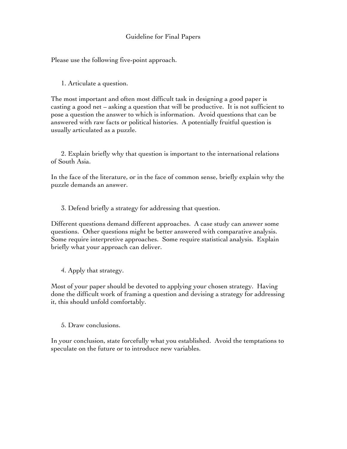#### Guideline for Final Papers

Please use the following five-point approach.

1. Articulate a question.

The most important and often most difficult task in designing a good paper is casting a good net – asking a question that will be productive. It is not sufficient to pose a question the answer to which is information. Avoid questions that can be answered with raw facts or political histories. A potentially fruitful question is usually articulated as a puzzle.

2. Explain briefly why that question is important to the international relations of South Asia.

In the face of the literature, or in the face of common sense, briefly explain why the puzzle demands an answer.

3. Defend briefly a strategy for addressing that question.

Different questions demand different approaches. A case study can answer some questions. Other questions might be better answered with comparative analysis. Some require interpretive approaches. Some require statistical analysis. Explain briefly what your approach can deliver.

4. Apply that strategy.

Most of your paper should be devoted to applying your chosen strategy. Having done the difficult work of framing a question and devising a strategy for addressing it, this should unfold comfortably.

5. Draw conclusions.

In your conclusion, state forcefully what you established. Avoid the temptations to speculate on the future or to introduce new variables.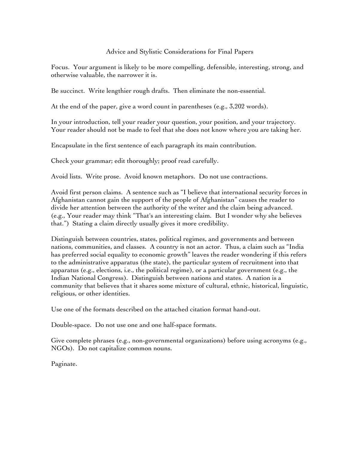#### Advice and Stylistic Considerations for Final Papers

Focus. Your argument is likely to be more compelling, defensible, interesting, strong, and otherwise valuable, the narrower it is.

Be succinct. Write lengthier rough drafts. Then eliminate the non-essential.

At the end of the paper, give a word count in parentheses (e.g., 3,202 words).

In your introduction, tell your reader your question, your position, and your trajectory. Your reader should not be made to feel that she does not know where you are taking her.

Encapsulate in the first sentence of each paragraph its main contribution.

Check your grammar; edit thoroughly; proof read carefully.

Avoid lists. Write prose. Avoid known metaphors. Do not use contractions.

Avoid first person claims. A sentence such as "I believe that international security forces in Afghanistan cannot gain the support of the people of Afghanistan" causes the reader to divide her attention between the authority of the writer and the claim being advanced. (e.g., Your reader may think "That's an interesting claim. But I wonder why she believes that.") Stating a claim directly usually gives it more credibility.

Distinguish between countries, states, political regimes, and governments and between nations, communities, and classes. A country is not an actor. Thus, a claim such as "India has preferred social equality to economic growth" leaves the reader wondering if this refers to the administrative apparatus (the state), the particular system of recruitment into that apparatus (e.g., elections, i.e., the political regime), or a particular government (e.g., the Indian National Congress). Distinguish between nations and states. A nation is a community that believes that it shares some mixture of cultural, ethnic, historical, linguistic, religious, or other identities.

Use one of the formats described on the attached citation format hand-out.

Double-space. Do not use one and one half-space formats.

Give complete phrases (e.g., non-governmental organizations) before using acronyms (e.g., NGOs). Do not capitalize common nouns.

Paginate.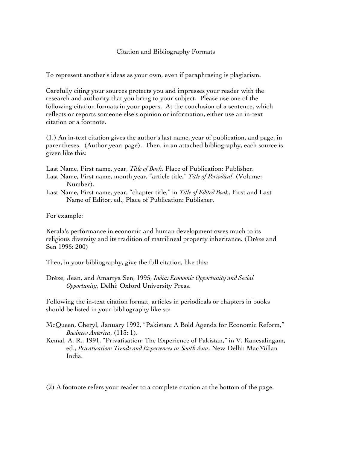### Citation and Bibliography Formats

To represent another's ideas as your own, even if paraphrasing is plagiarism.

Carefully citing your sources protects you and impresses your reader with the research and authority that you bring to your subject. Please use one of the following citation formats in your papers. At the conclusion of a sentence, which reflects or reports someone else's opinion or information, either use an in-text citation or a footnote.

(1.) An in-text citation gives the author's last name, year of publication, and page, in parentheses. (Author year: page). Then, in an attached bibliography, each source is given like this:

Last Name, First name, year, *Title of Book*, Place of Publication: Publisher.

- Last Name, First name, month year, "article title," *Title of Periodical*, (Volume: Number).
- Last Name, First name, year, "chapter title," in *Title of Edited Book*, First and Last Name of Editor, ed., Place of Publication: Publisher.

For example:

Kerala's performance in economic and human development owes much to its religious diversity and its tradition of matrilineal property inheritance. (Drèze and Sen 1995: 200)

Then, in your bibliography, give the full citation, like this:

Drèze, Jean, and Amartya Sen, 1995, *India: Economic Opportunity and Social Opportunity*, Delhi: Oxford University Press.

Following the in-text citation format, articles in periodicals or chapters in books should be listed in your bibliography like so:

- McQueen, Cheryl, January 1992, "Pakistan: A Bold Agenda for Economic Reform," *Business America*, (113: 1).
- Kemal, A. R., 1991, "Privatisation: The Experience of Pakistan," in V. Kanesalingam, ed., *Privatisation: Trends and Experiences in South Asia*, New Delhi: MacMillan India.
- (2) A footnote refers your reader to a complete citation at the bottom of the page.